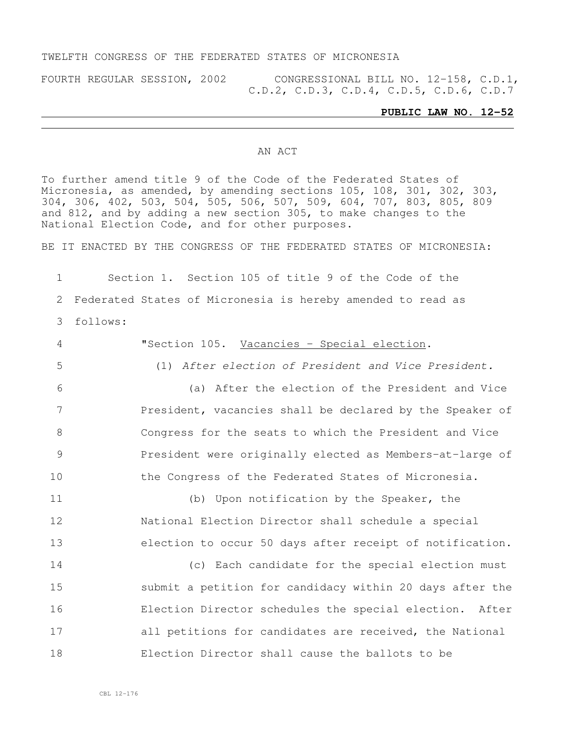## TWELFTH CONGRESS OF THE FEDERATED STATES OF MICRONESIA

FOURTH REGULAR SESSION, 2002 CONGRESSIONAL BILL NO. 12-158, C.D.1, C.D.2, C.D.3, C.D.4, C.D.5, C.D.6, C.D.7

### **PUBLIC LAW NO. 12-52**

### AN ACT

To further amend title 9 of the Code of the Federated States of Micronesia, as amended, by amending sections 105, 108, 301, 302, 303, 304, 306, 402, 503, 504, 505, 506, 507, 509, 604, 707, 803, 805, 809 and 812, and by adding a new section 305, to make changes to the National Election Code, and for other purposes.

BE IT ENACTED BY THE CONGRESS OF THE FEDERATED STATES OF MICRONESIA:

1 Section 1. Section 105 of title 9 of the Code of the 2 Federated States of Micronesia is hereby amended to read as 3 follows:

 "Section 105. Vacancies – Special election. (1) *After election of President and Vice President.* (a) After the election of the President and Vice President, vacancies shall be declared by the Speaker of Congress for the seats to which the President and Vice President were originally elected as Members-at-large of the Congress of the Federated States of Micronesia. (b) Upon notification by the Speaker, the National Election Director shall schedule a special election to occur 50 days after receipt of notification. (c) Each candidate for the special election must submit a petition for candidacy within 20 days after the Election Director schedules the special election. After 17 all petitions for candidates are received, the National Election Director shall cause the ballots to be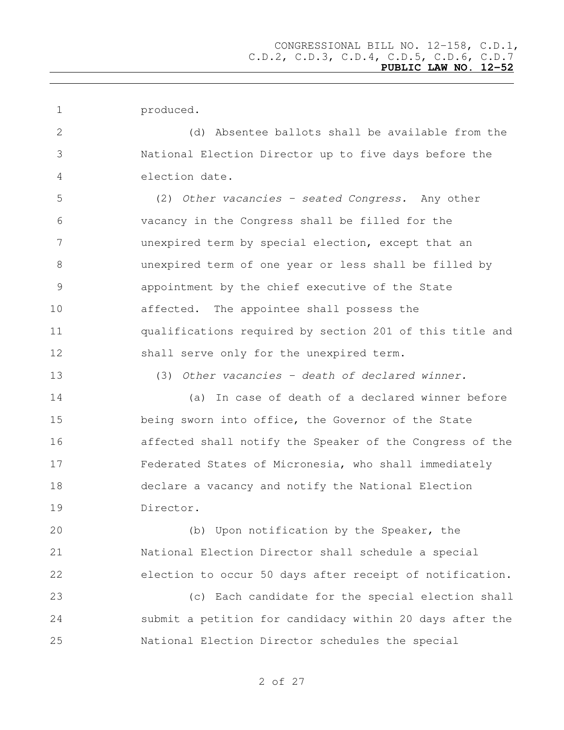produced.

 (d) Absentee ballots shall be available from the National Election Director up to five days before the election date.

 (2) *Other vacancies - seated Congress.* Any other vacancy in the Congress shall be filled for the unexpired term by special election, except that an unexpired term of one year or less shall be filled by appointment by the chief executive of the State affected. The appointee shall possess the qualifications required by section 201 of this title and 12 shall serve only for the unexpired term.

(3) *Other vacancies - death of declared winner.*

 (a) In case of death of a declared winner before being sworn into office, the Governor of the State affected shall notify the Speaker of the Congress of the Federated States of Micronesia, who shall immediately declare a vacancy and notify the National Election Director.

 (b) Upon notification by the Speaker, the National Election Director shall schedule a special election to occur 50 days after receipt of notification.

 (c) Each candidate for the special election shall submit a petition for candidacy within 20 days after the National Election Director schedules the special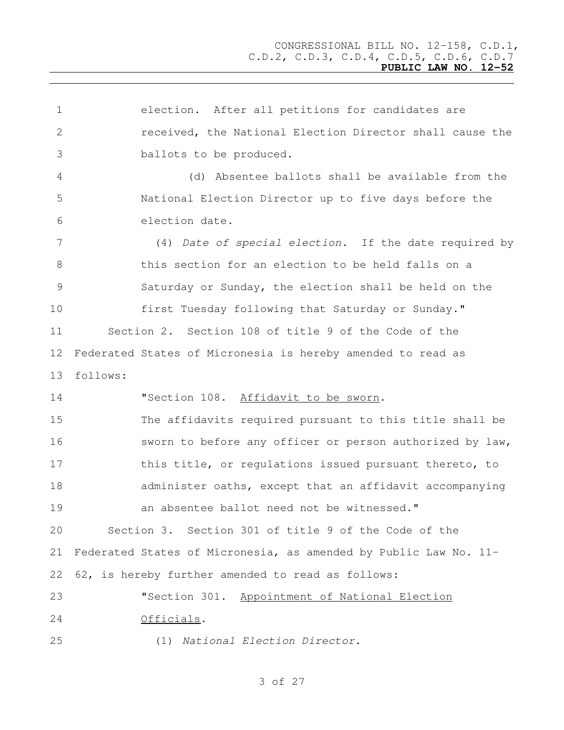election. After all petitions for candidates are received, the National Election Director shall cause the ballots to be produced. (d) Absentee ballots shall be available from the National Election Director up to five days before the election date. (4) *Date of special election.* If the date required by this section for an election to be held falls on a Saturday or Sunday, the election shall be held on the first Tuesday following that Saturday or Sunday." Section 2. Section 108 of title 9 of the Code of the Federated States of Micronesia is hereby amended to read as follows: "Section 108. Affidavit to be sworn. The affidavits required pursuant to this title shall be sworn to before any officer or person authorized by law, 17 this title, or regulations issued pursuant thereto, to administer oaths, except that an affidavit accompanying an absentee ballot need not be witnessed." Section 3. Section 301 of title 9 of the Code of the Federated States of Micronesia, as amended by Public Law No. 11- 62, is hereby further amended to read as follows: "Section 301. Appointment of National Election Officials. (1) *National Election Director.*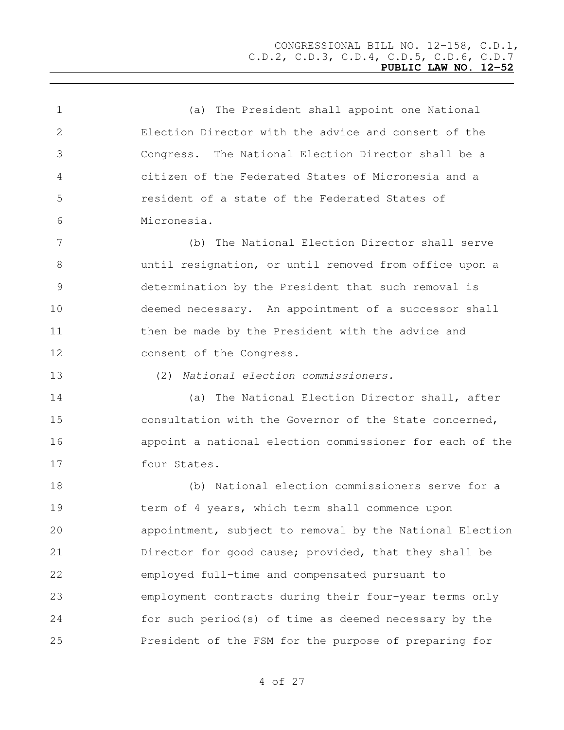(a) The President shall appoint one National Election Director with the advice and consent of the Congress. The National Election Director shall be a citizen of the Federated States of Micronesia and a resident of a state of the Federated States of Micronesia. (b) The National Election Director shall serve until resignation, or until removed from office upon a determination by the President that such removal is deemed necessary. An appointment of a successor shall 11 then be made by the President with the advice and consent of the Congress. (2) *National election commissioners.* (a) The National Election Director shall, after consultation with the Governor of the State concerned, appoint a national election commissioner for each of the four States. (b) National election commissioners serve for a term of 4 years, which term shall commence upon appointment, subject to removal by the National Election Director for good cause; provided, that they shall be employed full-time and compensated pursuant to employment contracts during their four-year terms only for such period(s) of time as deemed necessary by the President of the FSM for the purpose of preparing for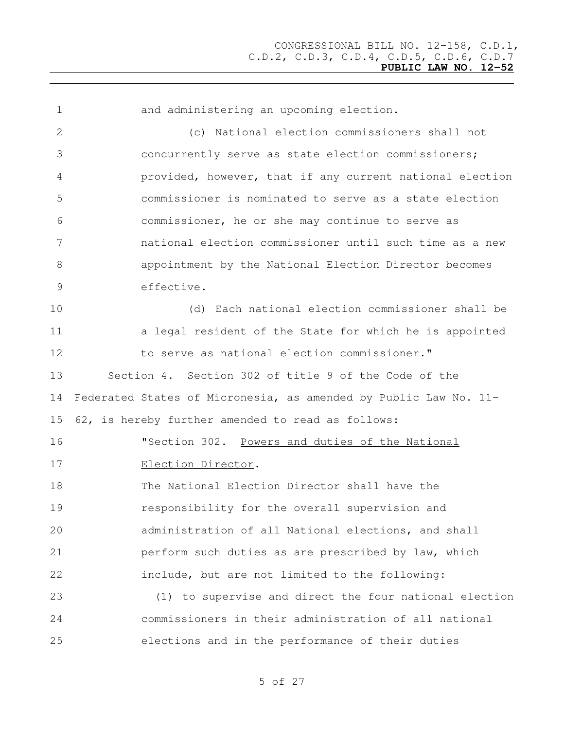and administering an upcoming election. (c) National election commissioners shall not concurrently serve as state election commissioners; provided, however, that if any current national election commissioner is nominated to serve as a state election commissioner, he or she may continue to serve as national election commissioner until such time as a new appointment by the National Election Director becomes effective. (d) Each national election commissioner shall be 11 a legal resident of the State for which he is appointed to serve as national election commissioner." Section 4. Section 302 of title 9 of the Code of the Federated States of Micronesia, as amended by Public Law No. 11- 62, is hereby further amended to read as follows: "Section 302. Powers and duties of the National Election Director. The National Election Director shall have the responsibility for the overall supervision and administration of all National elections, and shall perform such duties as are prescribed by law, which include, but are not limited to the following: (1) to supervise and direct the four national election commissioners in their administration of all national elections and in the performance of their duties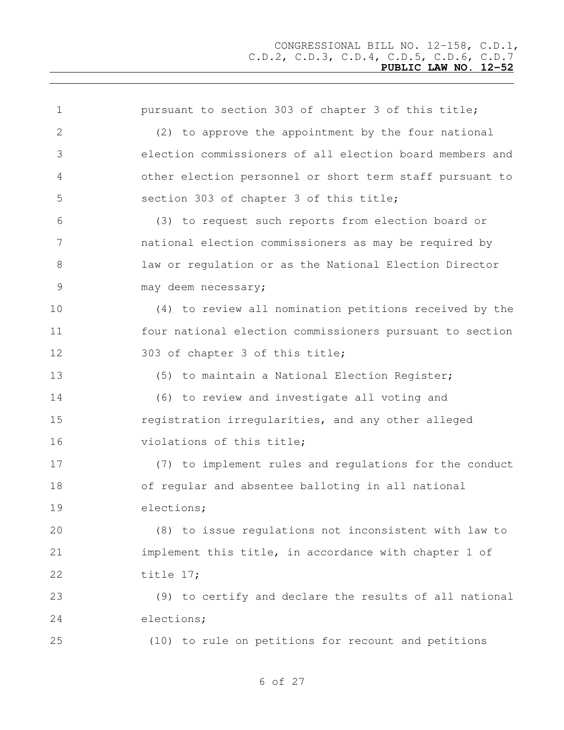| $\mathbf 1$ | pursuant to section 303 of chapter 3 of this title;      |
|-------------|----------------------------------------------------------|
| 2           | (2) to approve the appointment by the four national      |
| 3           | election commissioners of all election board members and |
| 4           | other election personnel or short term staff pursuant to |
| 5           | section 303 of chapter 3 of this title;                  |
| 6           | (3) to request such reports from election board or       |
| 7           | national election commissioners as may be required by    |
| 8           | law or regulation or as the National Election Director   |
| 9           | may deem necessary;                                      |
| 10          | (4) to review all nomination petitions received by the   |
| 11          | four national election commissioners pursuant to section |
| 12          | 303 of chapter 3 of this title;                          |
| 13          | (5) to maintain a National Election Register;            |
| 14          | (6) to review and investigate all voting and             |
| 15          | registration irregularities, and any other alleged       |
| 16          | violations of this title;                                |
| 17          | (7) to implement rules and regulations for the conduct   |
| 18          | of regular and absentee balloting in all national        |
| 19          | elections;                                               |
| 20          | (8) to issue regulations not inconsistent with law to    |
| 21          | implement this title, in accordance with chapter 1 of    |
| 22          | title 17;                                                |
| 23          | (9) to certify and declare the results of all national   |
| 24          | elections;                                               |
| 25          | (10) to rule on petitions for recount and petitions      |
|             |                                                          |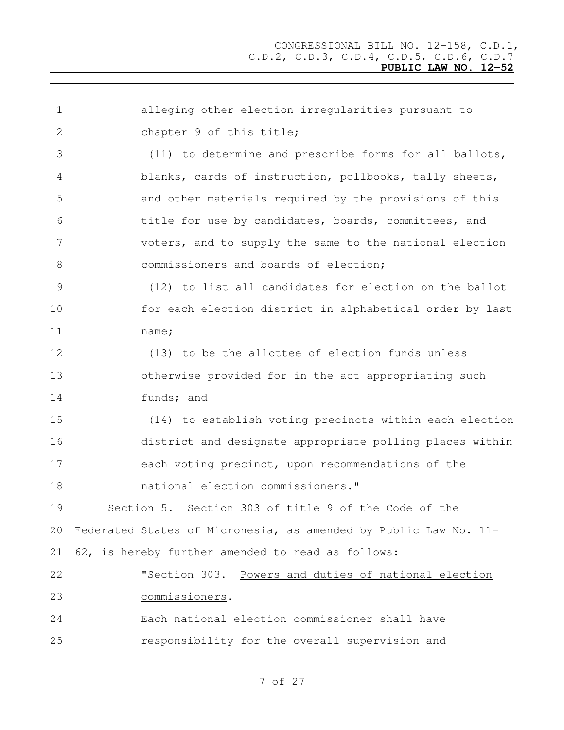alleging other election irregularities pursuant to 2 chapter 9 of this title; (11) to determine and prescribe forms for all ballots, blanks, cards of instruction, pollbooks, tally sheets, and other materials required by the provisions of this title for use by candidates, boards, committees, and voters, and to supply the same to the national election commissioners and boards of election; (12) to list all candidates for election on the ballot for each election district in alphabetical order by last name; (13) to be the allottee of election funds unless otherwise provided for in the act appropriating such funds; and (14) to establish voting precincts within each election district and designate appropriate polling places within each voting precinct, upon recommendations of the national election commissioners." Section 5. Section 303 of title 9 of the Code of the Federated States of Micronesia, as amended by Public Law No. 11- 62, is hereby further amended to read as follows: "Section 303. Powers and duties of national election commissioners. Each national election commissioner shall have responsibility for the overall supervision and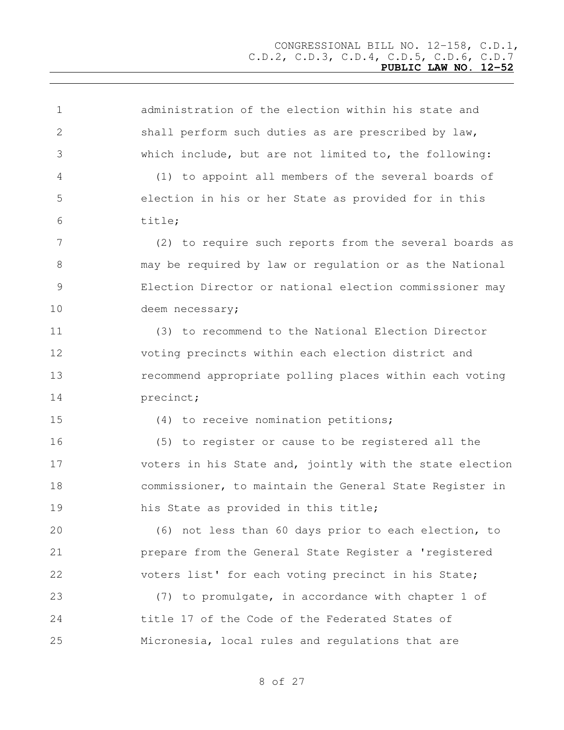administration of the election within his state and shall perform such duties as are prescribed by law, which include, but are not limited to, the following: (1) to appoint all members of the several boards of election in his or her State as provided for in this title; (2) to require such reports from the several boards as may be required by law or regulation or as the National Election Director or national election commissioner may 10 deem necessary; (3) to recommend to the National Election Director voting precincts within each election district and recommend appropriate polling places within each voting 14 precinct; (4) to receive nomination petitions; (5) to register or cause to be registered all the voters in his State and, jointly with the state election commissioner, to maintain the General State Register in his State as provided in this title; (6) not less than 60 days prior to each election, to prepare from the General State Register a 'registered voters list' for each voting precinct in his State; (7) to promulgate, in accordance with chapter 1 of title 17 of the Code of the Federated States of Micronesia, local rules and regulations that are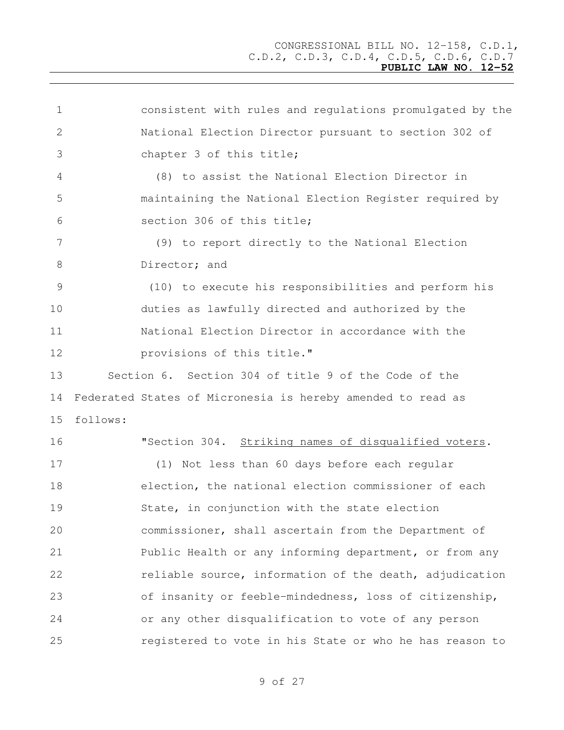consistent with rules and regulations promulgated by the National Election Director pursuant to section 302 of chapter 3 of this title; (8) to assist the National Election Director in maintaining the National Election Register required by section 306 of this title; (9) to report directly to the National Election 8 Director: and (10) to execute his responsibilities and perform his duties as lawfully directed and authorized by the National Election Director in accordance with the **provisions of this title."**  Section 6. Section 304 of title 9 of the Code of the Federated States of Micronesia is hereby amended to read as follows: "Section 304. Striking names of disqualified voters. (1) Not less than 60 days before each regular election, the national election commissioner of each State, in conjunction with the state election commissioner, shall ascertain from the Department of Public Health or any informing department, or from any 22 reliable source, information of the death, adjudication of insanity or feeble-mindedness, loss of citizenship, or any other disqualification to vote of any person registered to vote in his State or who he has reason to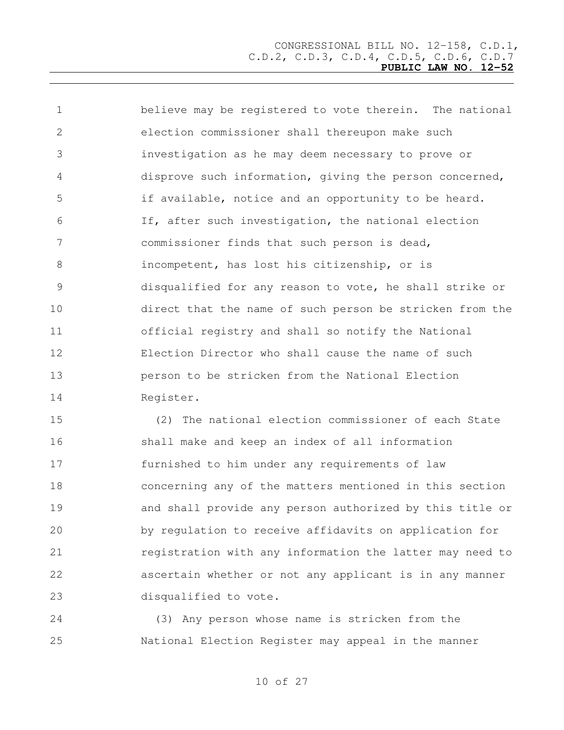believe may be registered to vote therein. The national election commissioner shall thereupon make such investigation as he may deem necessary to prove or disprove such information, giving the person concerned, if available, notice and an opportunity to be heard. If, after such investigation, the national election commissioner finds that such person is dead, incompetent, has lost his citizenship, or is disqualified for any reason to vote, he shall strike or direct that the name of such person be stricken from the official registry and shall so notify the National Election Director who shall cause the name of such person to be stricken from the National Election Register.

 (2) The national election commissioner of each State shall make and keep an index of all information furnished to him under any requirements of law concerning any of the matters mentioned in this section and shall provide any person authorized by this title or by regulation to receive affidavits on application for registration with any information the latter may need to ascertain whether or not any applicant is in any manner disqualified to vote.

 (3) Any person whose name is stricken from the National Election Register may appeal in the manner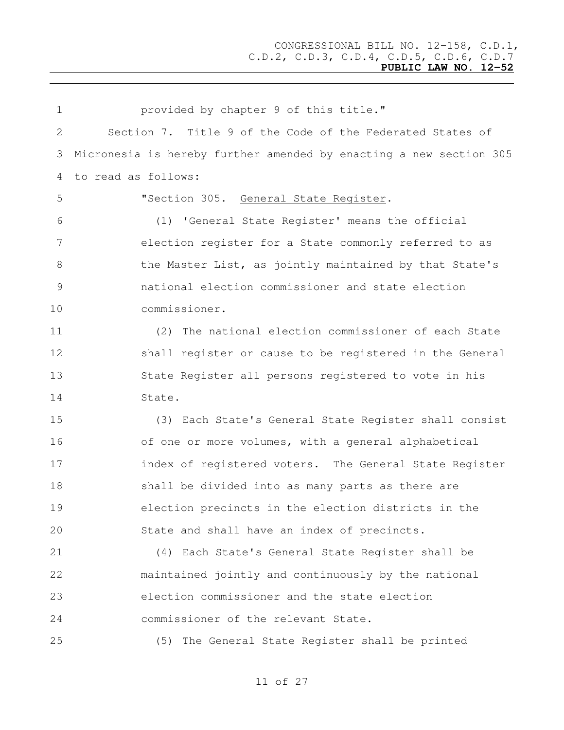| $\mathbf 1$    | provided by chapter 9 of this title."                              |
|----------------|--------------------------------------------------------------------|
| 2              | Section 7. Title 9 of the Code of the Federated States of          |
| 3              | Micronesia is hereby further amended by enacting a new section 305 |
| 4              | to read as follows:                                                |
| 5              | "Section 305. General State Register.                              |
| 6              | 'General State Register' means the official<br>(1)                 |
| 7              | election register for a State commonly referred to as              |
| 8              | the Master List, as jointly maintained by that State's             |
| $\overline{9}$ | national election commissioner and state election                  |
| 10             | commissioner.                                                      |
| 11             | The national election commissioner of each State<br>(2)            |
| 12             | shall register or cause to be registered in the General            |
| 13             | State Register all persons registered to vote in his               |
| 14             | State.                                                             |
| 15             | (3) Each State's General State Register shall consist              |
| 16             | of one or more volumes, with a general alphabetical                |
| 17             | index of registered voters. The General State Register             |
| 18             | shall be divided into as many parts as there are                   |
| 19             | election precincts in the election districts in the                |
| 20             | State and shall have an index of precincts.                        |
| 21             | (4) Each State's General State Register shall be                   |
| 22             | maintained jointly and continuously by the national                |
| 23             | election commissioner and the state election                       |
| 24             | commissioner of the relevant State.                                |
| 25             | (5) The General State Register shall be printed                    |
|                |                                                                    |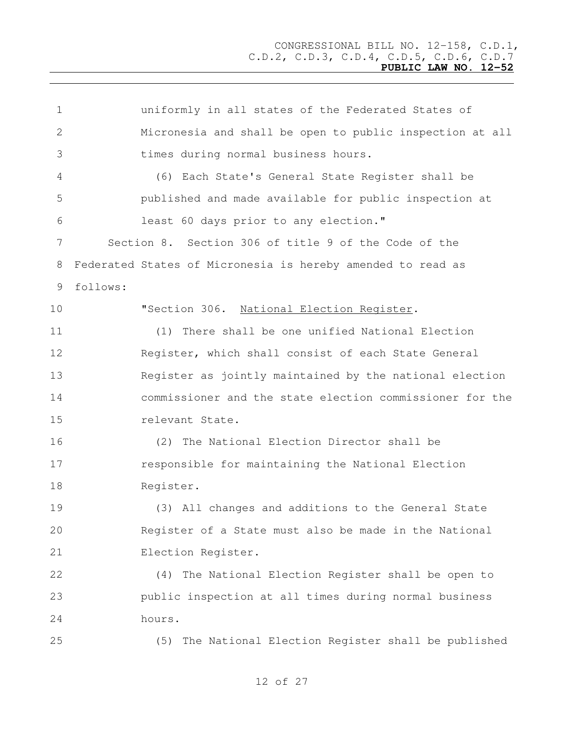| $\mathbf 1$    | uniformly in all states of the Federated States of          |
|----------------|-------------------------------------------------------------|
| $\overline{2}$ | Micronesia and shall be open to public inspection at all    |
| 3              | times during normal business hours.                         |
| 4              | (6) Each State's General State Register shall be            |
| 5              | published and made available for public inspection at       |
| 6              | least 60 days prior to any election."                       |
| 7              | Section 8. Section 306 of title 9 of the Code of the        |
| 8              | Federated States of Micronesia is hereby amended to read as |
| 9              | follows:                                                    |
| 10             | "Section 306. National Election Register.                   |
| 11             | (1) There shall be one unified National Election            |
| 12             | Register, which shall consist of each State General         |
| 13             | Register as jointly maintained by the national election     |
| 14             | commissioner and the state election commissioner for the    |
| 15             | relevant State.                                             |
| 16             | (2) The National Election Director shall be                 |
| 17             | responsible for maintaining the National Election           |
| 18             | Register.                                                   |
| 19             | (3) All changes and additions to the General State          |
| 20             | Register of a State must also be made in the National       |
| 21             | Election Register.                                          |
| 22             | The National Election Register shall be open to<br>(4)      |
| 23             | public inspection at all times during normal business       |
| 24             | hours.                                                      |
| 25             | (5) The National Election Register shall be published       |
|                |                                                             |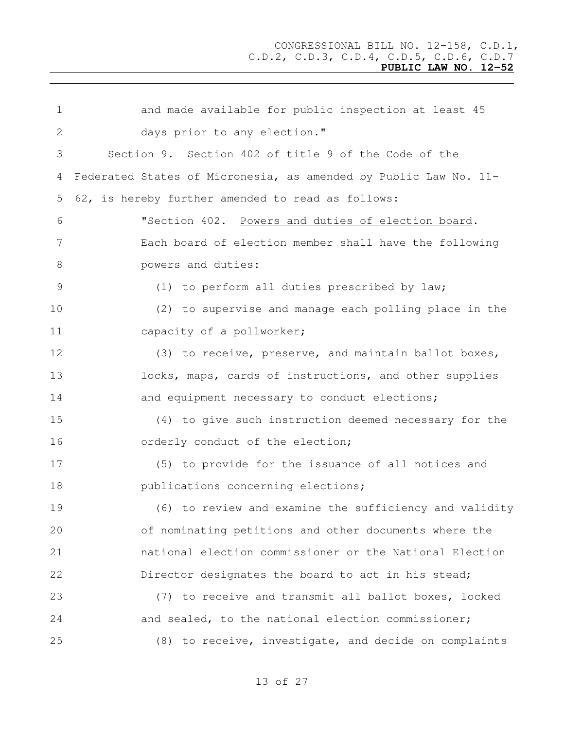| 1             | and made available for public inspection at least 45             |
|---------------|------------------------------------------------------------------|
| 2             | days prior to any election."                                     |
| 3             | Section 9. Section 402 of title 9 of the Code of the             |
| 4             | Federated States of Micronesia, as amended by Public Law No. 11- |
| 5             | 62, is hereby further amended to read as follows:                |
| 6             | "Section 402. Powers and duties of election board.               |
| 7             | Each board of election member shall have the following           |
| 8             | powers and duties:                                               |
| $\mathcal{G}$ | (1) to perform all duties prescribed by law;                     |
| 10            | (2) to supervise and manage each polling place in the            |
| 11            | capacity of a pollworker;                                        |
| 12            | (3) to receive, preserve, and maintain ballot boxes,             |
| 13            | locks, maps, cards of instructions, and other supplies           |
| 14            | and equipment necessary to conduct elections;                    |
| 15            | (4) to give such instruction deemed necessary for the            |
| 16            | orderly conduct of the election;                                 |
| 17            | (5) to provide for the issuance of all notices and               |
| 18            | publications concerning elections;                               |
| 19            | (6) to review and examine the sufficiency and validity           |
| 20            | of nominating petitions and other documents where the            |
| 21            | national election commissioner or the National Election          |
| 22            | Director designates the board to act in his stead;               |
| 23            | (7) to receive and transmit all ballot boxes, locked             |
| 24            | and sealed, to the national election commissioner;               |
| 25            | (8) to receive, investigate, and decide on complaints            |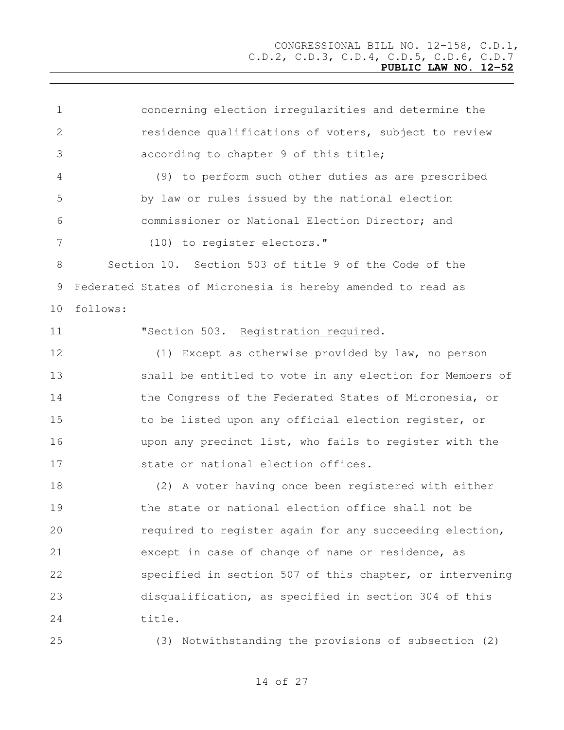| $\mathbf 1$ | concerning election irregularities and determine the        |
|-------------|-------------------------------------------------------------|
| 2           | residence qualifications of voters, subject to review       |
| 3           | according to chapter 9 of this title;                       |
| 4           | (9) to perform such other duties as are prescribed          |
| 5           | by law or rules issued by the national election             |
| 6           | commissioner or National Election Director; and             |
| 7           | (10) to register electors."                                 |
| 8           | Section 10. Section 503 of title 9 of the Code of the       |
| 9           | Federated States of Micronesia is hereby amended to read as |
| 10          | follows:                                                    |
| 11          | "Section 503. Registration required.                        |
| 12          | (1) Except as otherwise provided by law, no person          |
| 13          | shall be entitled to vote in any election for Members of    |
| 14          | the Congress of the Federated States of Micronesia, or      |
| 15          | to be listed upon any official election register, or        |
| 16          | upon any precinct list, who fails to register with the      |
| 17          | state or national election offices.                         |
| 18          | (2) A voter having once been registered with either         |
| 19          | the state or national election office shall not be          |
| 20          | required to register again for any succeeding election,     |
| 21          | except in case of change of name or residence, as           |
| 22          | specified in section 507 of this chapter, or intervening    |
| 23          | disqualification, as specified in section 304 of this       |
| 24          | title.                                                      |
| 25          | (3) Notwithstanding the provisions of subsection (2)        |
|             |                                                             |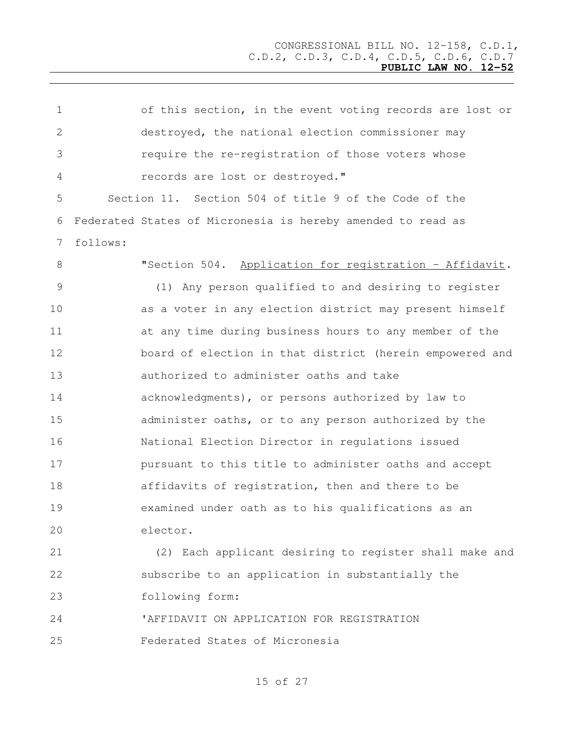| $\mathbf 1$ |          | of this section, in the event voting records are lost or    |
|-------------|----------|-------------------------------------------------------------|
| 2           |          | destroyed, the national election commissioner may           |
| 3           |          | require the re-registration of those voters whose           |
| 4           |          | records are lost or destroyed."                             |
| 5           |          | Section 11. Section 504 of title 9 of the Code of the       |
| 6           |          | Federated States of Micronesia is hereby amended to read as |
| 7           | follows: |                                                             |
| 8           |          | "Section 504. Application for registration - Affidavit.     |
| 9           |          | (1) Any person qualified to and desiring to register        |
| 10          |          | as a voter in any election district may present himself     |
| 11          |          | at any time during business hours to any member of the      |
| 12          |          | board of election in that district (herein empowered and    |
| 13          |          | authorized to administer oaths and take                     |
| 14          |          | acknowledgments), or persons authorized by law to           |
| 15          |          | administer oaths, or to any person authorized by the        |
| 16          |          | National Election Director in regulations issued            |
| 17          |          | pursuant to this title to administer oaths and accept       |
| 18          |          | affidavits of registration, then and there to be            |
| 19          |          | examined under oath as to his qualifications as an          |
| 20          |          | elector.                                                    |
| 21          |          | (2) Each applicant desiring to register shall make and      |
| 22          |          | subscribe to an application in substantially the            |
| 23          |          | following form:                                             |
| 24          |          | 'AFFIDAVIT ON APPLICATION FOR REGISTRATION                  |
| 25          |          | Federated States of Micronesia                              |
|             |          |                                                             |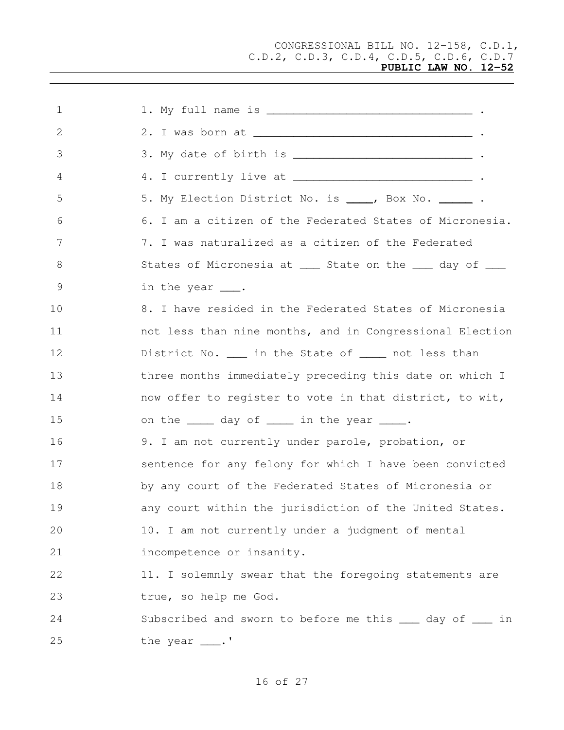CONGRESSIONAL BILL NO. 12-158, C.D.1, C.D.2, C.D.3, C.D.4, C.D.5, C.D.6, C.D.7

## **PUBLIC LAW NO. 12-52**

| $\mathbf 1$   |                                                                        |
|---------------|------------------------------------------------------------------------|
| 2             |                                                                        |
| 3             |                                                                        |
| 4             | 4. I currently live at <u>______________________________</u> .         |
| 5             | 5. My Election District No. is ____, Box No. ______ .                  |
| 6             | 6. I am a citizen of the Federated States of Micronesia.               |
| 7             | 7. I was naturalized as a citizen of the Federated                     |
| 8             | States of Micronesia at ____ State on the ____ day of ____             |
| $\mathcal{G}$ | in the year ___.                                                       |
| 10            | 8. I have resided in the Federated States of Micronesia                |
| 11            | not less than nine months, and in Congressional Election               |
| 12            | District No. ____ in the State of _____ not less than                  |
| 13            | three months immediately preceding this date on which I                |
| 14            | now offer to register to vote in that district, to wit,                |
| 15            | on the _____ day of _____ in the year ____.                            |
| 16            | 9. I am not currently under parole, probation, or                      |
| 17            | sentence for any felony for which I have been convicted                |
| 18            | by any court of the Federated States of Micronesia or                  |
| 19            | any court within the jurisdiction of the United States.                |
| 20            | 10. I am not currently under a judgment of mental                      |
| 21            | incompetence or insanity.                                              |
| 22            | 11. I solemnly swear that the foregoing statements are                 |
| 23            | true, so help me God.                                                  |
| 24            | Subscribed and sworn to before me this <u>eau</u> day of <u>eau</u> in |
| 25            | the year ___.'                                                         |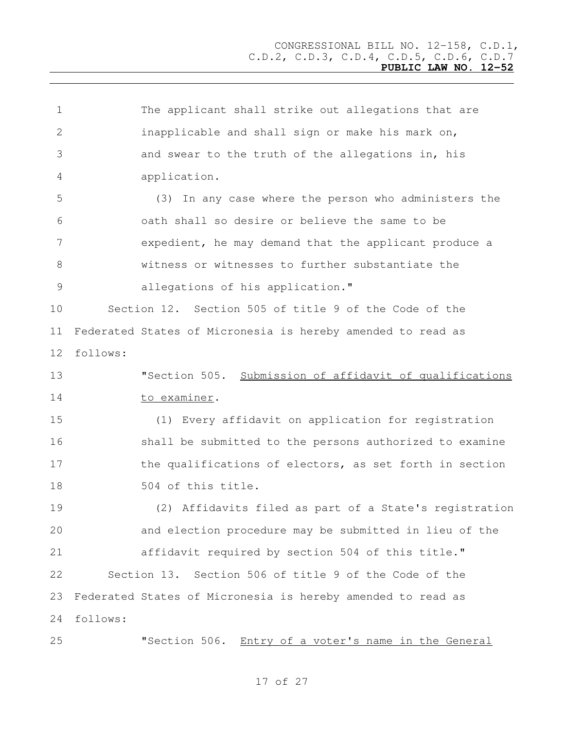| $\mathbf 1$   |          | The applicant shall strike out allegations that are         |
|---------------|----------|-------------------------------------------------------------|
| 2             |          | inapplicable and shall sign or make his mark on,            |
| 3             |          | and swear to the truth of the allegations in, his           |
| 4             |          | application.                                                |
| 5             |          | (3) In any case where the person who administers the        |
| 6             |          | oath shall so desire or believe the same to be              |
| 7             |          | expedient, he may demand that the applicant produce a       |
| 8             |          | witness or witnesses to further substantiate the            |
| $\mathcal{G}$ |          | allegations of his application."                            |
| 10            |          | Section 12. Section 505 of title 9 of the Code of the       |
| 11            |          | Federated States of Micronesia is hereby amended to read as |
| 12            | follows: |                                                             |
| 13            |          | "Section 505. Submission of affidavit of qualifications     |
| 14            |          | to examiner.                                                |
| 15            |          | (1) Every affidavit on application for registration         |
| 16            |          | shall be submitted to the persons authorized to examine     |
| 17            |          | the qualifications of electors, as set forth in section     |
| 18            |          | 504 of this title.                                          |
| 19            |          | (2) Affidavits filed as part of a State's registration      |
| 20            |          | and election procedure may be submitted in lieu of the      |
| 21            |          | affidavit required by section 504 of this title."           |
| 22            |          | Section 13. Section 506 of title 9 of the Code of the       |
| 23            |          | Federated States of Micronesia is hereby amended to read as |
| 24            | follows: |                                                             |
| 25            |          | "Section 506. Entry of a voter's name in the General        |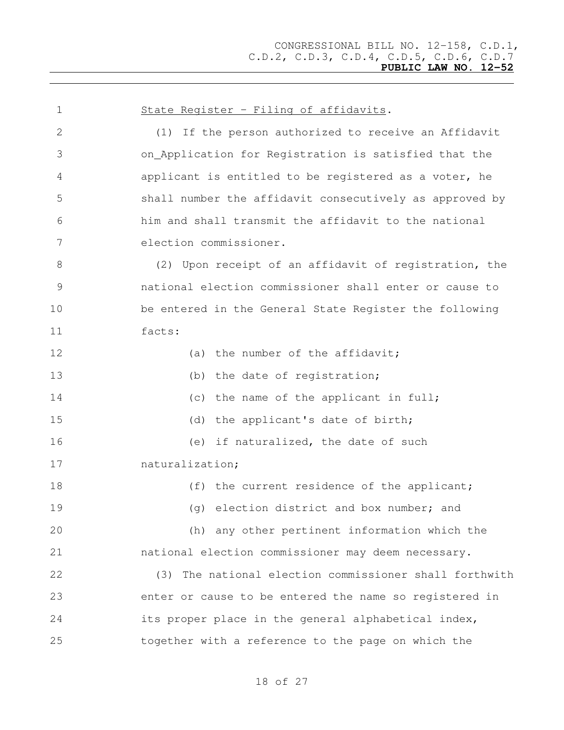| $\mathbf 1$   | State Register - Filing of affidavits.                  |
|---------------|---------------------------------------------------------|
| $\mathbf{2}$  | (1) If the person authorized to receive an Affidavit    |
| 3             | on_Application for Registration is satisfied that the   |
| 4             | applicant is entitled to be registered as a voter, he   |
| 5             | shall number the affidavit consecutively as approved by |
| 6             | him and shall transmit the affidavit to the national    |
| 7             | election commissioner.                                  |
| 8             | (2) Upon receipt of an affidavit of registration, the   |
| $\mathcal{G}$ | national election commissioner shall enter or cause to  |
| 10            | be entered in the General State Register the following  |
| 11            | facts:                                                  |
| 12            | (a) the number of the affidavit;                        |
| 13            | (b) the date of registration;                           |
| 14            | (c) the name of the applicant in full;                  |
| 15            | (d) the applicant's date of birth;                      |
| 16            | (e) if naturalized, the date of such                    |
| 17            | naturalization;                                         |
| 18            | (f) the current residence of the applicant;             |
| 19            | (g) election district and box number; and               |
| 20            | (h) any other pertinent information which the           |
| 21            | national election commissioner may deem necessary.      |
| 22            | (3) The national election commissioner shall forthwith  |
| 23            | enter or cause to be entered the name so registered in  |
| 24            | its proper place in the general alphabetical index,     |
| 25            | together with a reference to the page on which the      |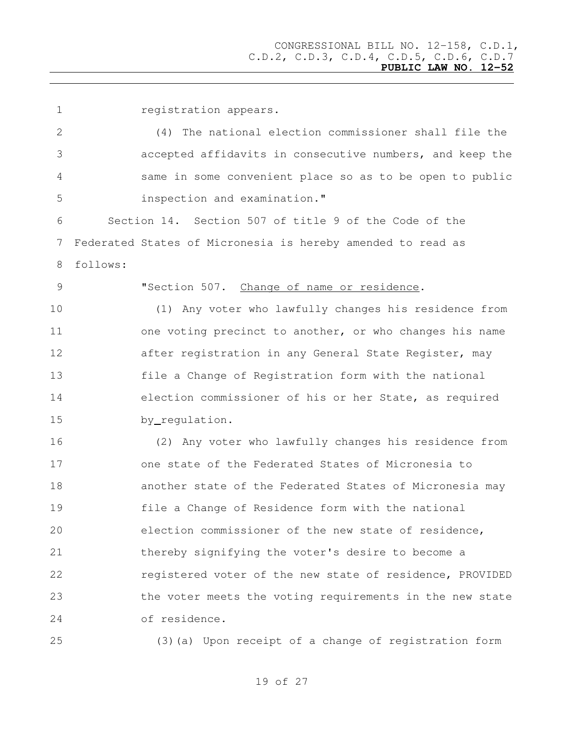registration appears. (4) The national election commissioner shall file the accepted affidavits in consecutive numbers, and keep the same in some convenient place so as to be open to public inspection and examination." Section 14. Section 507 of title 9 of the Code of the Federated States of Micronesia is hereby amended to read as follows: "Section 507. Change of name or residence. (1) Any voter who lawfully changes his residence from 11 one voting precinct to another, or who changes his name **after registration in any General State Register, may**  file a Change of Registration form with the national election commissioner of his or her State, as required by regulation. (2) Any voter who lawfully changes his residence from one state of the Federated States of Micronesia to another state of the Federated States of Micronesia may file a Change of Residence form with the national election commissioner of the new state of residence, thereby signifying the voter's desire to become a registered voter of the new state of residence, PROVIDED the voter meets the voting requirements in the new state of residence.

(3)(a) Upon receipt of a change of registration form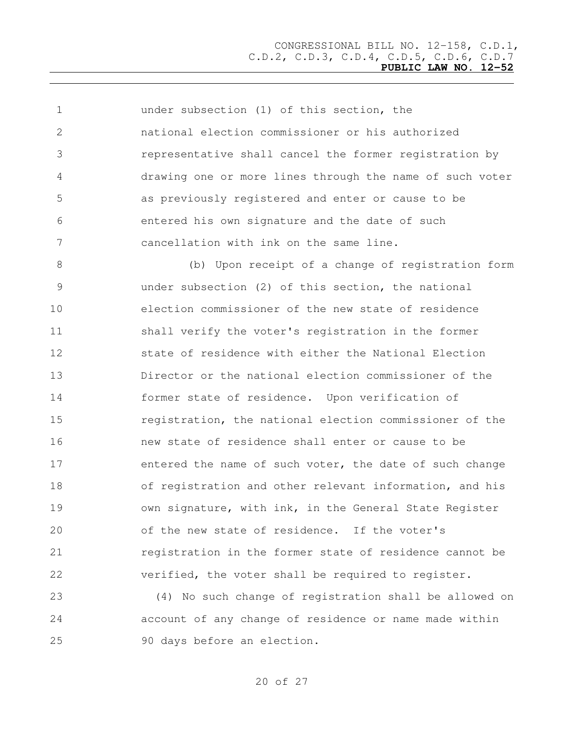under subsection (1) of this section, the national election commissioner or his authorized representative shall cancel the former registration by drawing one or more lines through the name of such voter as previously registered and enter or cause to be entered his own signature and the date of such cancellation with ink on the same line. (b) Upon receipt of a change of registration form under subsection (2) of this section, the national election commissioner of the new state of residence shall verify the voter's registration in the former state of residence with either the National Election Director or the national election commissioner of the former state of residence. Upon verification of registration, the national election commissioner of the new state of residence shall enter or cause to be 17 entered the name of such voter, the date of such change of registration and other relevant information, and his **19** own signature, with ink, in the General State Register of the new state of residence. If the voter's registration in the former state of residence cannot be verified, the voter shall be required to register.

 (4) No such change of registration shall be allowed on account of any change of residence or name made within 90 days before an election.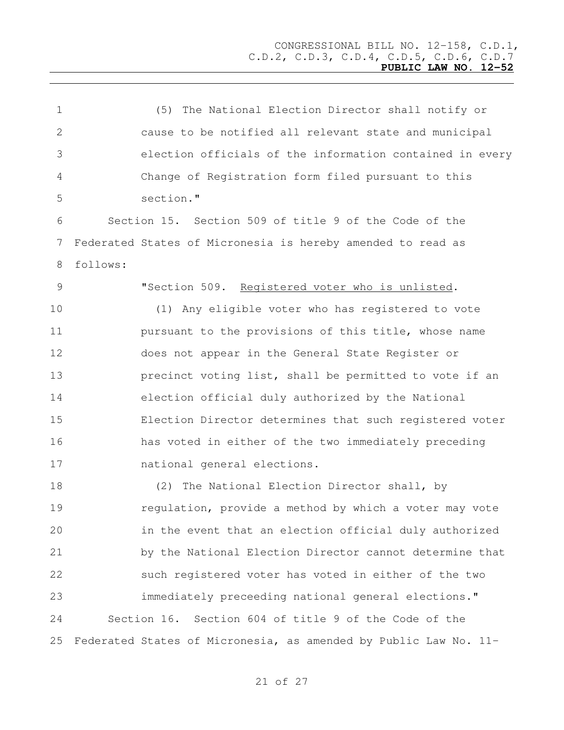| $\mathbf 1$   |          | (5) The National Election Director shall notify or               |
|---------------|----------|------------------------------------------------------------------|
| 2             |          | cause to be notified all relevant state and municipal            |
| 3             |          | election officials of the information contained in every         |
| 4             |          | Change of Registration form filed pursuant to this               |
| 5             |          | section."                                                        |
| 6             |          | Section 15. Section 509 of title 9 of the Code of the            |
| 7             |          | Federated States of Micronesia is hereby amended to read as      |
| 8             | follows: |                                                                  |
| $\mathcal{G}$ |          | "Section 509. Registered voter who is unlisted.                  |
| 10            |          | (1) Any eligible voter who has registered to vote                |
| 11            |          | pursuant to the provisions of this title, whose name             |
| 12            |          | does not appear in the General State Register or                 |
| 13            |          | precinct voting list, shall be permitted to vote if an           |
| 14            |          | election official duly authorized by the National                |
| 15            |          | Election Director determines that such registered voter          |
| 16            |          | has voted in either of the two immediately preceding             |
| 17            |          | national general elections.                                      |
| 18            |          | (2) The National Election Director shall, by                     |
| 19            |          | regulation, provide a method by which a voter may vote           |
| 20            |          | in the event that an election official duly authorized           |
| 21            |          | by the National Election Director cannot determine that          |
| 22            |          | such registered voter has voted in either of the two             |
| 23            |          | immediately preceeding national general elections."              |
| 24            |          | Section 16. Section 604 of title 9 of the Code of the            |
| 25            |          | Federated States of Micronesia, as amended by Public Law No. 11- |
|               |          |                                                                  |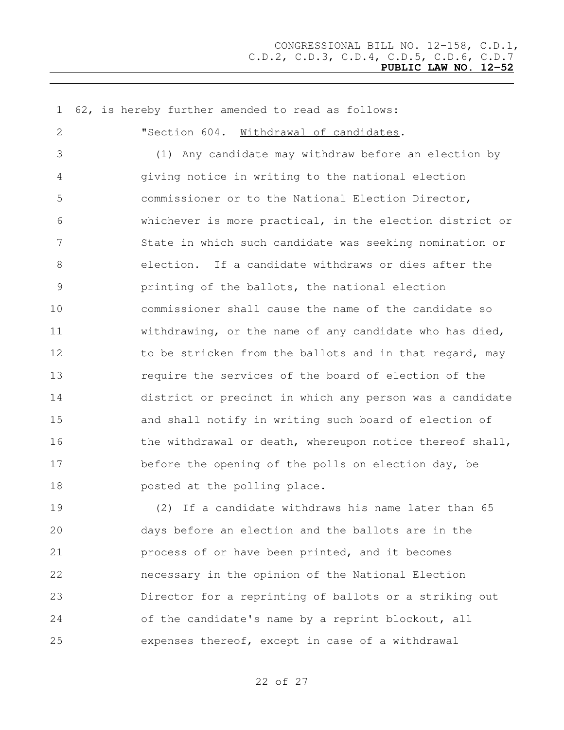62, is hereby further amended to read as follows: "Section 604. Withdrawal of candidates. (1) Any candidate may withdraw before an election by giving notice in writing to the national election commissioner or to the National Election Director, whichever is more practical, in the election district or State in which such candidate was seeking nomination or election. If a candidate withdraws or dies after the printing of the ballots, the national election commissioner shall cause the name of the candidate so withdrawing, or the name of any candidate who has died, 12 to be stricken from the ballots and in that regard, may require the services of the board of election of the district or precinct in which any person was a candidate and shall notify in writing such board of election of 16 the withdrawal or death, whereupon notice thereof shall, 17 before the opening of the polls on election day, be **posted at the polling place.** (2) If a candidate withdraws his name later than 65

 days before an election and the ballots are in the process of or have been printed, and it becomes necessary in the opinion of the National Election Director for a reprinting of ballots or a striking out of the candidate's name by a reprint blockout, all expenses thereof, except in case of a withdrawal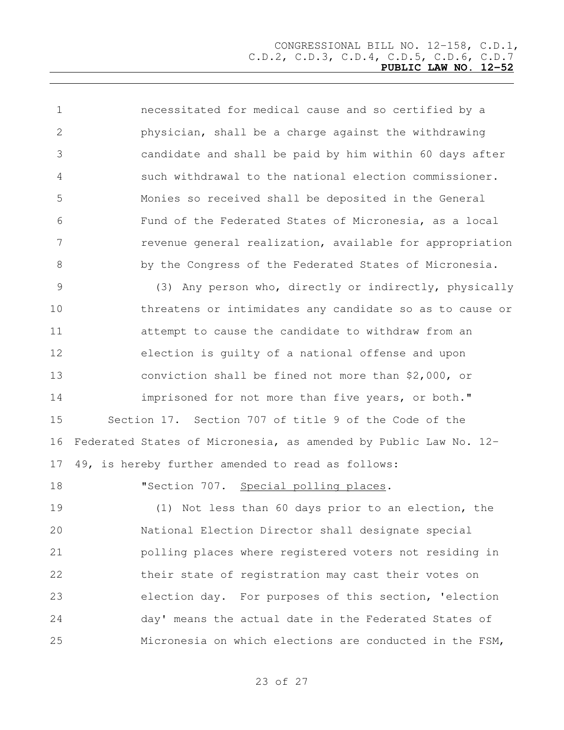necessitated for medical cause and so certified by a physician, shall be a charge against the withdrawing candidate and shall be paid by him within 60 days after such withdrawal to the national election commissioner. Monies so received shall be deposited in the General Fund of the Federated States of Micronesia, as a local revenue general realization, available for appropriation by the Congress of the Federated States of Micronesia.

 (3) Any person who, directly or indirectly, physically threatens or intimidates any candidate so as to cause or attempt to cause the candidate to withdraw from an election is guilty of a national offense and upon conviction shall be fined not more than \$2,000, or **imprisoned for not more than five years, or both."**  Section 17. Section 707 of title 9 of the Code of the Federated States of Micronesia, as amended by Public Law No. 12- 49, is hereby further amended to read as follows:

**"Section 707.** Special polling places.

 (1) Not less than 60 days prior to an election, the National Election Director shall designate special polling places where registered voters not residing in their state of registration may cast their votes on election day. For purposes of this section, 'election day' means the actual date in the Federated States of Micronesia on which elections are conducted in the FSM,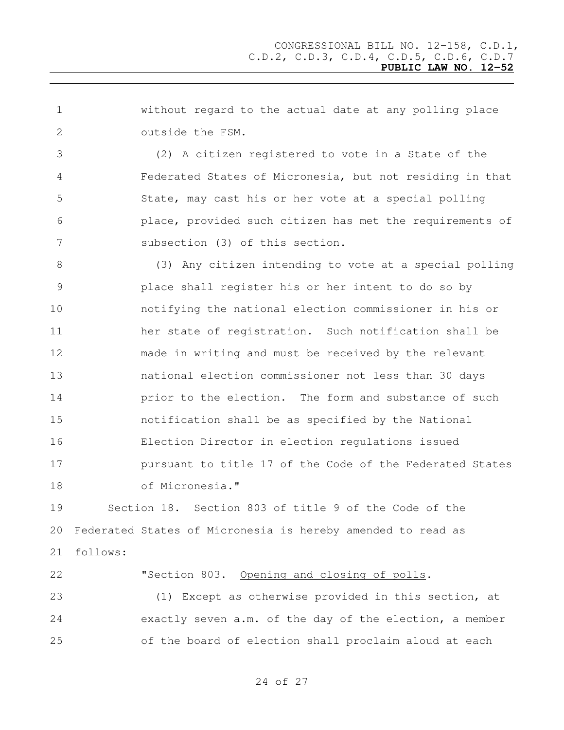without regard to the actual date at any polling place outside the FSM.

 (2) A citizen registered to vote in a State of the Federated States of Micronesia, but not residing in that State, may cast his or her vote at a special polling place, provided such citizen has met the requirements of subsection (3) of this section.

 (3) Any citizen intending to vote at a special polling place shall register his or her intent to do so by notifying the national election commissioner in his or her state of registration. Such notification shall be made in writing and must be received by the relevant national election commissioner not less than 30 days **prior to the election.** The form and substance of such notification shall be as specified by the National Election Director in election regulations issued **pursuant to title 17 of the Code of the Federated States** of Micronesia."

 Section 18. Section 803 of title 9 of the Code of the Federated States of Micronesia is hereby amended to read as follows:

 "Section 803. Opening and closing of polls. (1) Except as otherwise provided in this section, at exactly seven a.m. of the day of the election, a member of the board of election shall proclaim aloud at each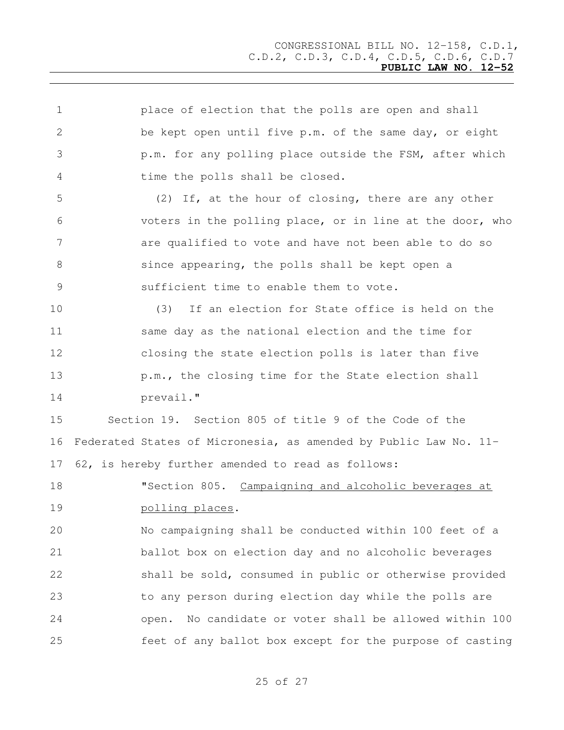| 1  | place of election that the polls are open and shall              |
|----|------------------------------------------------------------------|
| 2  | be kept open until five p.m. of the same day, or eight           |
| 3  | p.m. for any polling place outside the FSM, after which          |
| 4  | time the polls shall be closed.                                  |
| 5  | (2) If, at the hour of closing, there are any other              |
| 6  | voters in the polling place, or in line at the door, who         |
| 7  | are qualified to vote and have not been able to do so            |
| 8  | since appearing, the polls shall be kept open a                  |
| 9  | sufficient time to enable them to vote.                          |
| 10 | (3)<br>If an election for State office is held on the            |
| 11 | same day as the national election and the time for               |
| 12 | closing the state election polls is later than five              |
| 13 | p.m., the closing time for the State election shall              |
| 14 | prevail."                                                        |
| 15 | Section 19. Section 805 of title 9 of the Code of the            |
| 16 | Federated States of Micronesia, as amended by Public Law No. 11- |
| 17 | 62, is hereby further amended to read as follows:                |
| 18 | "Section 805. Campaigning and alcoholic beverages at             |
| 19 | polling places.                                                  |
| 20 | No campaigning shall be conducted within 100 feet of a           |
| 21 | ballot box on election day and no alcoholic beverages            |
| 22 | shall be sold, consumed in public or otherwise provided          |
| 23 | to any person during election day while the polls are            |
| 24 | No candidate or voter shall be allowed within 100<br>open.       |
| 25 | feet of any ballot box except for the purpose of casting         |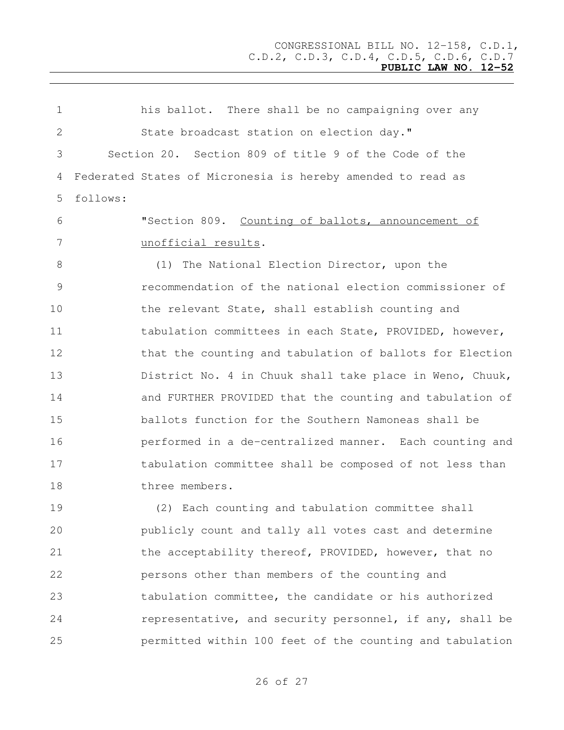his ballot. There shall be no campaigning over any 2 State broadcast station on election day." Section 20. Section 809 of title 9 of the Code of the Federated States of Micronesia is hereby amended to read as follows: "Section 809. Counting of ballots, announcement of unofficial results. (1) The National Election Director, upon the recommendation of the national election commissioner of the relevant State, shall establish counting and 11 tabulation committees in each State, PROVIDED, however, 12 that the counting and tabulation of ballots for Election District No. 4 in Chuuk shall take place in Weno, Chuuk, and FURTHER PROVIDED that the counting and tabulation of ballots function for the Southern Namoneas shall be performed in a de-centralized manner. Each counting and tabulation committee shall be composed of not less than three members. (2) Each counting and tabulation committee shall publicly count and tally all votes cast and determine 21 the acceptability thereof, PROVIDED, however, that no persons other than members of the counting and tabulation committee, the candidate or his authorized

permitted within 100 feet of the counting and tabulation

of 27

representative, and security personnel, if any, shall be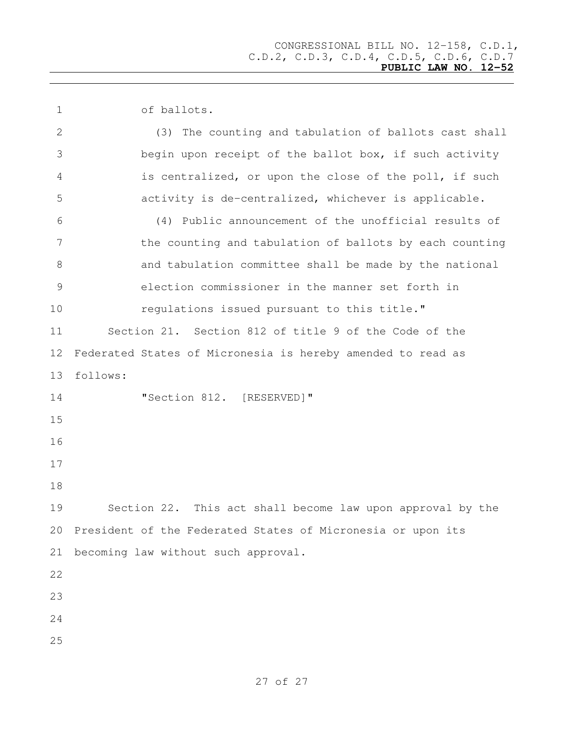of ballots.

| 2  | (3) The counting and tabulation of ballots cast shall       |
|----|-------------------------------------------------------------|
| 3  | begin upon receipt of the ballot box, if such activity      |
| 4  | is centralized, or upon the close of the poll, if such      |
| 5  | activity is de-centralized, whichever is applicable.        |
| 6  | (4) Public announcement of the unofficial results of        |
| 7  | the counting and tabulation of ballots by each counting     |
| 8  | and tabulation committee shall be made by the national      |
| 9  | election commissioner in the manner set forth in            |
| 10 | regulations issued pursuant to this title."                 |
| 11 | Section 21. Section 812 of title 9 of the Code of the       |
| 12 | Federated States of Micronesia is hereby amended to read as |
| 13 | follows:                                                    |
| 14 | "Section 812. [RESERVED]"                                   |
| 15 |                                                             |
| 16 |                                                             |
| 17 |                                                             |
| 18 |                                                             |
| 19 | Section 22. This act shall become law upon approval by the  |
| 20 | President of the Federated States of Micronesia or upon its |
| 21 | becoming law without such approval.                         |
| 22 |                                                             |
| 23 |                                                             |
| 24 |                                                             |
| 25 |                                                             |